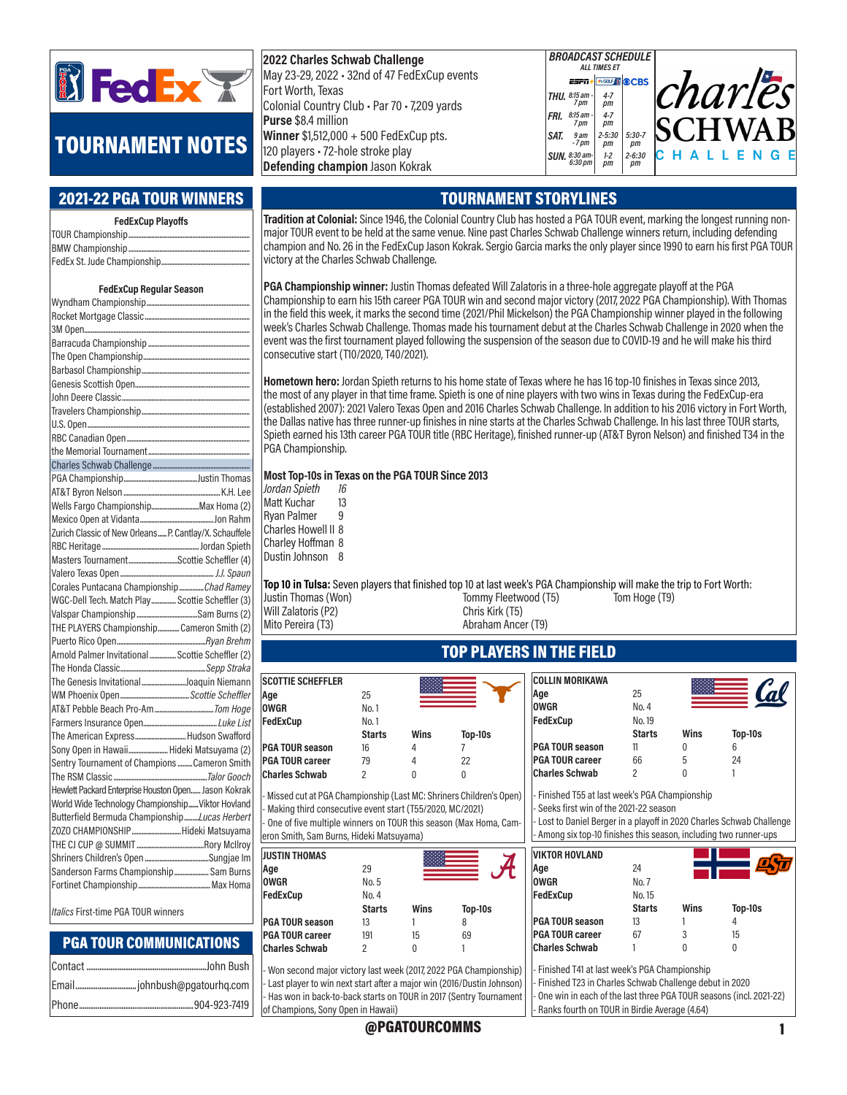

# TOURNAMENT NOTES

### 2021-22 PGA TOUR WINNERS

| <b>FedExCup Playoffs</b> |  |  |  |  |  |  |  |
|--------------------------|--|--|--|--|--|--|--|
|                          |  |  |  |  |  |  |  |
|                          |  |  |  |  |  |  |  |
|                          |  |  |  |  |  |  |  |
|                          |  |  |  |  |  |  |  |

### FedExCup Regular Season

| Wells Fargo ChampionshipMax Homa (2)                   |  |
|--------------------------------------------------------|--|
|                                                        |  |
| Zurich Classic of New Orleans P. Cantlay/X. Schauffele |  |
|                                                        |  |
| Masters TournamentScottie Scheffler (4)                |  |
|                                                        |  |
| Corales Puntacana Championship Chad Ramey              |  |
| WGC-Dell Tech. Match Play  Scottie Scheffler (3)       |  |
|                                                        |  |
| THE PLAYERS Championship Cameron Smith (2)             |  |
|                                                        |  |
| Arnold Palmer Invitational  Scottie Scheffler (2)      |  |
|                                                        |  |
| The Genesis InvitationalJoaquin Niemann                |  |
|                                                        |  |
|                                                        |  |
|                                                        |  |
|                                                        |  |
| The American Express Hudson Swafford                   |  |
| Sony Open in Hawaii Hideki Matsuyama (2)               |  |
| Sentry Tournament of Champions  Cameron Smith          |  |
|                                                        |  |
| Hewlett Packard Enterprise Houston Open Jason Kokrak   |  |
| World Wide Technology Championship Viktor Hovland      |  |
| Butterfield Bermuda ChampionshipLucas Herbert          |  |
| ZOZO CHAMPIONSHIPHideki Matsuyama                      |  |
|                                                        |  |
|                                                        |  |
| Sanderson Farms Championship Sam Burns                 |  |
|                                                        |  |
|                                                        |  |

Italics First-time PGA TOUR winners

# PGA TOUR COMMUNICATIONS

### 2022 Charles Schwab Challenge May 23-29, 2022 • 32nd of 47 FedExCup events Fort Worth, Texas Colonial Country Club • Par 70 • 7,209 yards Purse \$8.4 million Winner \$1,512,000 + 500 FedExCup pts. 120 players • 72-hole stroke play Defending champion Jason Kokrak

|      |                     |                     | <b>BROADCAST SCHEDULE</b> |         |
|------|---------------------|---------------------|---------------------------|---------|
|      |                     | <b>ALL TIMES ET</b> |                           |         |
|      | ESFN                |                     | Account OCBS              |         |
| THU. | 8:15 am -<br>7 pm   | $4 - 7$<br>рm       |                           | narie   |
| FRI. | 8:15 am -<br>7 pm   | $4 - 7$<br>рm       |                           | B       |
| SAT. | 9 am<br>- 7 pm      | $2 - 5:30$<br>рm    | $5:30 - 7$<br>рm          |         |
| SUN. | 8:30 am-<br>6:30 pm | $1 - 2$<br>рm       | $2 - 6:30$<br>рm          | EN<br>G |

# TOURNAMENT STORYLINES

Tradition at Colonial: Since 1946, the Colonial Country Club has hosted a PGA TOUR event, marking the longest running nonmajor TOUR event to be held at the same venue. Nine past Charles Schwab Challenge winners return, including defending champion and No. 26 in the FedExCup Jason Kokrak. Sergio Garcia marks the only player since 1990 to earn his first PGA TOUR victory at the Charles Schwab Challenge.

PGA Championship winner: Justin Thomas defeated Will Zalatoris in a three-hole aggregate playoff at the PGA Championship to earn his 15th career PGA TOUR win and second major victory (2017, 2022 PGA Championship). With Thomas in the field this week, it marks the second time (2021/Phil Mickelson) the PGA Championship winner played in the following week's Charles Schwab Challenge. Thomas made his tournament debut at the Charles Schwab Challenge in 2020 when the event was the first tournament played following the suspension of the season due to COVID-19 and he will make his third consecutive start (T10/2020, T40/2021).

Hometown hero: Jordan Spieth returns to his home state of Texas where he has 16 top-10 finishes in Texas since 2013, the most of any player in that time frame. Spieth is one of nine players with two wins in Texas during the FedExCup-era (established 2007): 2021 Valero Texas Open and 2016 Charles Schwab Challenge. In addition to his 2016 victory in Fort Worth, the Dallas native has three runner-up finishes in nine starts at the Charles Schwab Challenge. In his last three TOUR starts, Spieth earned his 13th career PGA TOUR title (RBC Heritage), finished runner-up (AT&T Byron Nelson) and finished T34 in the PGA Championship.

### Most Top-10s in Texas on the PGA TOUR Since 2013

| Jordan Spieth       | 16 |
|---------------------|----|
| Matt Kuchar         | 13 |
| <b>Ryan Palmer</b>  | q  |
| Charles Howell II 8 |    |
| Charley Hoffman 8   |    |
| Dustin Johnson      | 8  |
|                     |    |

Top 10 in Tulsa: Seven players that finished top 10 at last week's PGA Championship will make the trip to Fort Worth:

| lustin Thomas (Won) |  |
|---------------------|--|
| Will Zalatoris (P2) |  |
| Mito Pereira (T3)   |  |

SCOTTIE SCHEFFLER Age 25 OWGR
No. 1 FedExCup No. 1

JUSTIN THOMAS

Age 29 OWGR
No. 5 FedExCup No. 4

of Champions, Sony Open in Hawaii)

Tommy Fleetwood (T5) Tom Hoge (T9) Chris Kirk (T5) Abraham Ancer (T9)

# TOP PLAYERS IN THE FIELD

| <b>COLLIN MORIKAWA</b> |               |      |         |
|------------------------|---------------|------|---------|
| Age                    | 25            |      |         |
| <b>OWGR</b>            | No. 4         |      |         |
| <b>FedExCup</b>        | No. 19        |      |         |
|                        | <b>Starts</b> | Wins | Top-10s |
| <b>PGA TOUR season</b> | 11            | 0    |         |
| <b>PGA TOUR career</b> | 66            | 5    | 24      |
| <b>Charles Schwab</b>  |               | 0    |         |

- Finished T55 at last week's PGA Championship - Seeks first win of the 2021-22 season - Missed cut at PGA Championship (Last MC: Shriners Children's Open)

- Lost to Daniel Berger in a playoff in 2020 Charles Schwab Challenge Among six top-10 finishes this season, including two runner-ups

| <b>VIKTOR HOVLAND</b>  |               |      |         |  |
|------------------------|---------------|------|---------|--|
| Age                    | 24            |      |         |  |
| <b>OWGR</b>            | No. 7         |      |         |  |
| <b>FedExCup</b>        | No. 15        |      |         |  |
|                        | <b>Starts</b> | Wins | Top-10s |  |
| PGA TOUR season        | 13            |      | 4       |  |
| <b>PGA TOUR career</b> | 67            | 3    | 15      |  |
| <b>Charles Schwab</b>  |               |      | 0       |  |
|                        |               |      |         |  |

- Finished T41 at last week's PGA Championship - Finished T23 in Charles Schwab Challenge debut in 2020 - One win in each of the last three PGA TOUR seasons (incl. 2021-22) - Ranks fourth on TOUR in Birdie Average (4.64)



Starts Wins Top-10s

Starts Wins Top-10s

PGA TOUR season 16 4 7 PGA TOUR career 79 4 22 Charles Schwab 2 0 0 0

- Making third consecutive event start (T55/2020, MC/2021) - One of five multiple winners on TOUR this season (Max Homa, Cam-

PGA TOUR season 13 1 8 PGA TOUR career 191 15 69 Charles Schwab 2 0 1

Won second major victory last week (2017, 2022 PGA Championship) Last player to win next start after a major win (2016/Dustin Johnson) Has won in back-to-back starts on TOUR in 2017 (Sentry Tournament

eron Smith, Sam Burns, Hideki Matsuyama)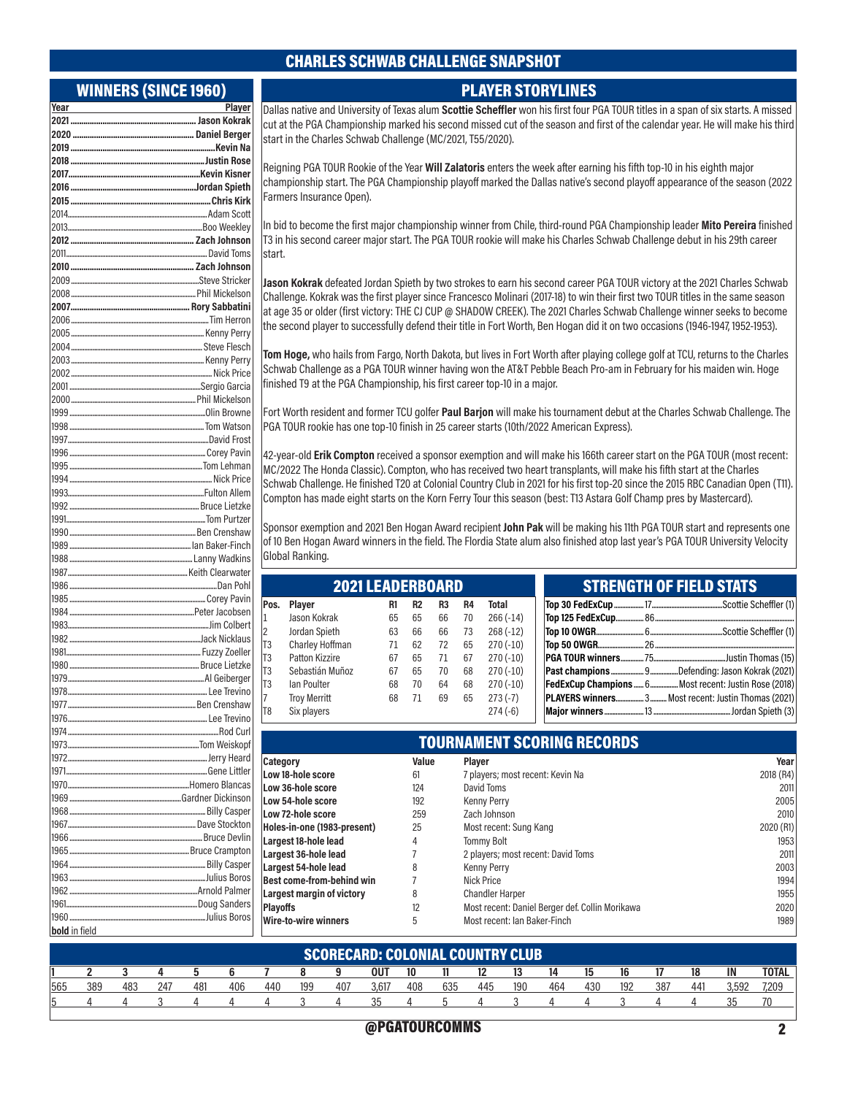### CHARLES SCHWAB CHALLENGE SNAPSHOT

### WINNERS (SINCE 1960)

| Year                 | Player      |
|----------------------|-------------|
|                      |             |
|                      |             |
|                      |             |
|                      |             |
|                      |             |
|                      |             |
|                      |             |
|                      |             |
|                      |             |
|                      |             |
|                      |             |
|                      |             |
|                      |             |
|                      |             |
|                      |             |
|                      |             |
|                      |             |
|                      |             |
|                      |             |
|                      |             |
|                      |             |
|                      |             |
|                      |             |
|                      |             |
|                      |             |
|                      |             |
|                      |             |
|                      |             |
|                      |             |
|                      |             |
|                      |             |
|                      |             |
|                      |             |
|                      |             |
|                      |             |
|                      |             |
|                      |             |
|                      |             |
|                      |             |
|                      |             |
|                      |             |
|                      |             |
|                      |             |
| 1976                 | Lee Trevino |
|                      |             |
|                      |             |
|                      |             |
|                      |             |
|                      |             |
|                      |             |
|                      |             |
|                      |             |
|                      |             |
|                      |             |
|                      |             |
|                      |             |
|                      |             |
|                      |             |
|                      |             |
| <b>bold</b> in field |             |

Dallas native and University of Texas alum **Scottie Scheffler** won his first four PGA TOUR titles in a span of six starts. A missed cut at the PGA Championship marked his second missed cut of the season and first of the calendar year. He will make his third start in the Charles Schwab Challenge (MC/2021, T55/2020).

PLAYER STORYLINES

Reigning PGA TOUR Rookie of the Year Will Zalatoris enters the week after earning his fifth top-10 in his eighth major championship start. The PGA Championship playoff marked the Dallas native's second playoff appearance of the season (2022 Farmers Insurance Open).

In bid to become the first major championship winner from Chile, third-round PGA Championship leader Mito Pereira finished T3 in his second career major start. The PGA TOUR rookie will make his Charles Schwab Challenge debut in his 29th career start.

Jason Kokrak defeated Jordan Spieth by two strokes to earn his second career PGA TOUR victory at the 2021 Charles Schwab Challenge. Kokrak was the first player since Francesco Molinari (2017-18) to win their first two TOUR titles in the same season at age 35 or older (first victory: THE CJ CUP @ SHADOW CREEK). The 2021 Charles Schwab Challenge winner seeks to become the second player to successfully defend their title in Fort Worth, Ben Hogan did it on two occasions (1946-1947, 1952-1953).

Tom Hoge, who hails from Fargo, North Dakota, but lives in Fort Worth after playing college golf at TCU, returns to the Charles Schwab Challenge as a PGA TOUR winner having won the AT&T Pebble Beach Pro-am in February for his maiden win. Hoge finished T9 at the PGA Championship, his first career top-10 in a major.

Fort Worth resident and former TCU golfer Paul Barjon will make his tournament debut at the Charles Schwab Challenge. The PGA TOUR rookie has one top-10 finish in 25 career starts (10th/2022 American Express).

42-year-old Erik Compton received a sponsor exemption and will make his 166th career start on the PGA TOUR (most recent: MC/2022 The Honda Classic). Compton, who has received two heart transplants, will make his fifth start at the Charles Schwab Challenge. He finished T20 at Colonial Country Club in 2021 for his first top-20 since the 2015 RBC Canadian Open (T11). Compton has made eight starts on the Korn Ferry Tour this season (best: T13 Astara Golf Champ pres by Mastercard).

Sponsor exemption and 2021 Ben Hogan Award recipient John Pak will be making his 11th PGA TOUR start and represents one of 10 Ben Hogan Award winners in the field. The Flordia State alum also finished atop last year's PGA TOUR University Velocity Global Ranking.

|              | <b>2021 LEADERBOARD</b> |    |                |    | <b>STRENGTH OF FIELD STATS</b> |            |                                                             |
|--------------|-------------------------|----|----------------|----|--------------------------------|------------|-------------------------------------------------------------|
| Pos.         | Player                  | R1 | R <sub>2</sub> | R3 | R4                             | Total      |                                                             |
| $\mathbf{1}$ | Jason Kokrak            | 65 | 65             | 66 | 70                             | $266(-14)$ |                                                             |
| $\mathbf{2}$ | Jordan Spieth           | 63 | 66             | 66 | 73                             | $268(-12)$ |                                                             |
| T3           | Charley Hoffman         | 71 | 62             | 72 | 65                             | $270(-10)$ |                                                             |
| T3           | Patton Kizzire          | 67 | 65             | 71 | 67                             | $270(-10)$ |                                                             |
| T3           | Sebastián Muñoz         | 67 | 65             | 70 | 68                             | $270(-10)$ |                                                             |
| T3           | lan Poulter             | 68 | 70             | 64 | 68                             | $270(-10)$ | <b>FedExCup Champions</b> 6 Most recent: Justin Rose (2018) |
| 7            | <b>Trov Merritt</b>     | 68 | 71             | 69 | 65                             | $273(-7)$  | <b>PLAYERS winners</b> 3 Most recent: Justin Thomas (2021)  |
| T8           | Six players             |    |                |    |                                | $274(-6)$  |                                                             |

| Category                    | Value | <b>Plaver</b>                                   | Year      |
|-----------------------------|-------|-------------------------------------------------|-----------|
| Low 18-hole score           | 61    | 7 players; most recent: Kevin Na                | 2018 (R4) |
| Low 36-hole score           | 124   | David Toms                                      | 2011      |
| Low 54-hole score           | 192   | Kenny Perry                                     | 2005      |
| Low 72-hole score           | 259   | Zach Johnson                                    | 2010      |
| Holes-in-one (1983-present) | 25    | Most recent: Sung Kang                          | 2020 (R1) |
| Largest 18-hole lead        | 4     | <b>Tommy Bolt</b>                               | 1953      |
| Largest 36-hole lead        |       | 2 players; most recent: David Toms              | 2011      |
| Largest 54-hole lead        | 8     | Kenny Perry                                     | 2003      |
| Best come-from-behind win   |       | <b>Nick Price</b>                               | 1994      |
| Largest margin of victory   | 8     | <b>Chandler Harper</b>                          | 1955      |
| <b>Plavoffs</b>             | 12    | Most recent: Daniel Berger def. Collin Morikawa | 2020      |
| <b>Wire-to-wire winners</b> | 5     | Most recent: Ian Baker-Finch                    | 1989      |

|     | <b>SCORECARD: COLONIAL COUNTRY CLUB</b> |     |     |     |     |     |     |     |            |     |     |     |     |     |     |     |     |     |       |              |
|-----|-----------------------------------------|-----|-----|-----|-----|-----|-----|-----|------------|-----|-----|-----|-----|-----|-----|-----|-----|-----|-------|--------------|
|     |                                         |     |     |     |     |     |     |     | <b>OUT</b> | 10  |     |     | 13  | 14  | 15  | 16  |     | 18  | IN    | <b>TOTAL</b> |
| 565 | 389                                     | 483 | 247 | 481 | 406 | 440 | 199 | 407 | 3.617      | 408 | 635 | 445 | 190 | 464 | 430 | 192 | 387 | 441 | 3.592 | 7.209        |
|     |                                         |     |     |     |     |     |     |     |            |     |     |     |     |     |     |     |     |     |       | 70           |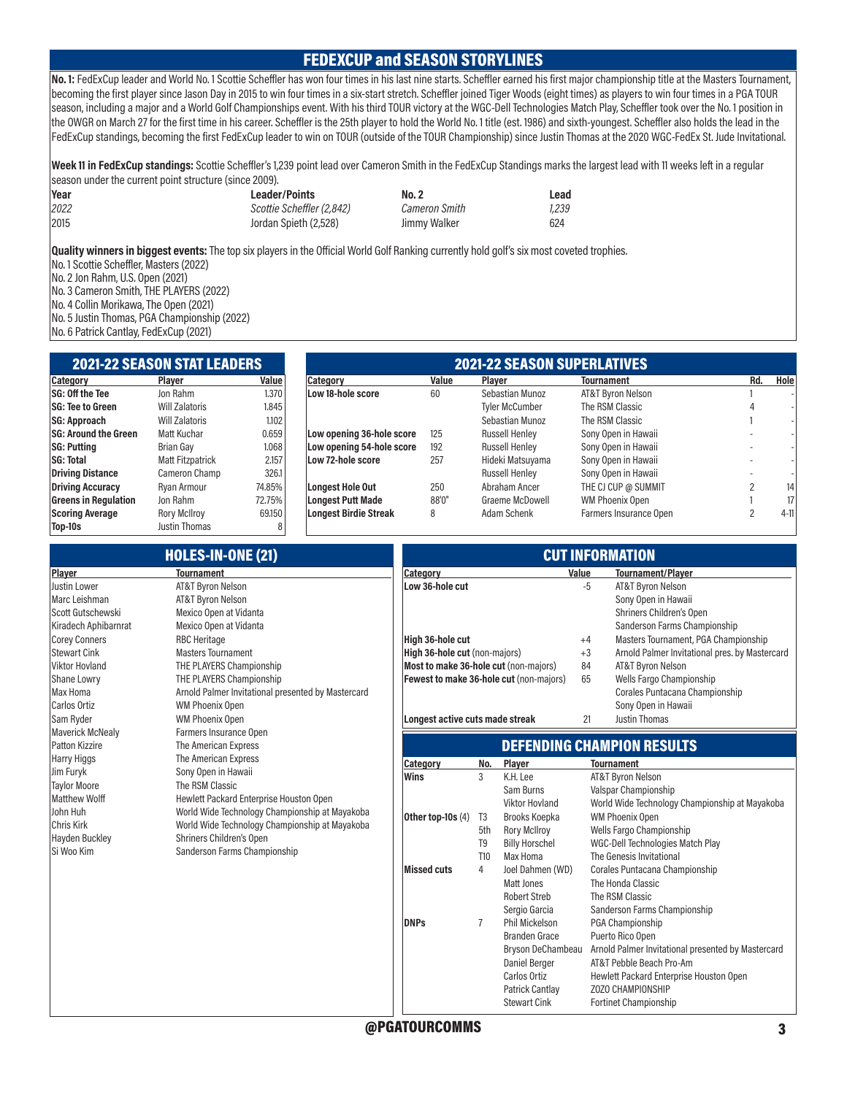### FEDEXCUP and SEASON STORYLINES

No. 1: FedExCup leader and World No.1 Scottie Scheffler has won four times in his last nine starts. Scheffler earned his first major championship title at the Masters Tournament, becoming the first player since Jason Day in 2015 to win four times in a six-start stretch. Scheffler joined Tiger Woods (eight times) as players to win four times in a PGA TOUR season, including a major and a World Golf Championships event. With his third TOUR victory at the WGC-Dell Technologies Match Play, Scheffler took over the No. 1 position in the OWGR on March 27 for the first time in his career. Scheffler is the 25th player to hold the World No. 1 title (est. 1986) and sixth-youngest. Scheffler also holds the lead in the FedExCup standings, becoming the first FedExCup leader to win on TOUR (outside of the TOUR Championship) since Justin Thomas at the 2020 WGC-FedEx St. Jude Invitational.

Week 11 in FedExCup standings: Scottie Scheffler's 1,239 point lead over Cameron Smith in the FedExCup Standings marks the largest lead with 11 weeks left in a regular season under the current point structure (since 2009).

| Year    |
|---------|
| 2022    |
| 01<br>5 |

Scottie Scheffler (2,842) Cameron Smith 1,239 2015 Jordan Spieth (2,528) Jimmy Walker 624

Leader/Points No. 2 Lead

Quality winners in biggest events: The top six players in the Official World Golf Ranking currently hold golf's six most coveted trophies. No. 1 Scottie Scheffler, Masters (2022)

No. 2 Jon Rahm, U.S. Open (2021)

No. 3 Cameron Smith, THE PLAYERS (2022)

No. 4 Collin Morikawa, The Open (2021)

No. 5 Justin Thomas, PGA Championship (2022)

No. 6 Patrick Cantlay, FedExCup (2021)

| <b>2021-22 SEASON STAT LEADERS</b> |                         |        |  |  |  |  |  |
|------------------------------------|-------------------------|--------|--|--|--|--|--|
| Category                           | <b>Plaver</b>           | Value  |  |  |  |  |  |
| SG: Off the Tee                    | Jon Rahm                | 1.370  |  |  |  |  |  |
| <b>SG: Tee to Green</b>            | <b>Will Zalatoris</b>   | 1.845  |  |  |  |  |  |
| <b>SG: Approach</b>                | <b>Will Zalatoris</b>   | 1.102  |  |  |  |  |  |
| <b>SG: Around the Green</b>        | Matt Kuchar             | 0.659  |  |  |  |  |  |
| <b>SG: Putting</b>                 | Brian Gay               | 1.068  |  |  |  |  |  |
| <b>SG: Total</b>                   | <b>Matt Fitzpatrick</b> | 2.157  |  |  |  |  |  |
| <b>Driving Distance</b>            | Cameron Champ           | 326.1  |  |  |  |  |  |
| <b>Driving Accuracy</b>            | Ryan Armour             | 74.85% |  |  |  |  |  |
| <b>Greens in Regulation</b>        | Jon Rahm                | 72.75% |  |  |  |  |  |
| <b>Scoring Average</b>             | <b>Rory McIlroy</b>     | 69.150 |  |  |  |  |  |
| Top-10s                            | Justin Thomas           | 8      |  |  |  |  |  |

| Category                     | Value | <b>Plaver</b>         | <b>Tournament</b>      | Rd. | Hole   |
|------------------------------|-------|-----------------------|------------------------|-----|--------|
| Low 18-hole score            | 60    | Sebastian Munoz       | AT&T Byron Nelson      |     |        |
|                              |       | <b>Tyler McCumber</b> | The RSM Classic        |     |        |
|                              |       | Sebastian Munoz       | The RSM Classic        |     |        |
| Low opening 36-hole score    | 125   | <b>Russell Henley</b> | Sony Open in Hawaii    |     |        |
| Low opening 54-hole score    | 192   | <b>Russell Henley</b> | Sony Open in Hawaii    |     |        |
| Low 72-hole score            | 257   | Hideki Matsuyama      | Sony Open in Hawaii    |     |        |
|                              |       | <b>Russell Henley</b> | Sony Open in Hawaii    |     |        |
| <b>Longest Hole Out</b>      | 250   | Abraham Ancer         | THE CJ CUP @ SUMMIT    | 2   | 14     |
| <b>Longest Putt Made</b>     | 88'0" | Graeme McDowell       | WM Phoenix Open        |     | 17     |
| <b>Longest Birdie Streak</b> | 8     | Adam Schenk           | Farmers Insurance Open | 2   | $4-11$ |
|                              |       |                       |                        |     |        |

|                         | <b>HOLES-IN-ONE (21)</b>                           | <b>CUT INFORMATION</b>                |                 |                                         |       |                                                    |  |  |
|-------------------------|----------------------------------------------------|---------------------------------------|-----------------|-----------------------------------------|-------|----------------------------------------------------|--|--|
| Player                  | <b>Tournament</b>                                  | Category                              |                 |                                         | Value | <b>Tournament/Player</b>                           |  |  |
| <b>Justin Lower</b>     | <b>AT&amp;T Byron Nelson</b>                       | Low 36-hole cut                       |                 |                                         | $-5$  | <b>AT&amp;T Byron Nelson</b>                       |  |  |
| Marc Leishman           | <b>AT&amp;T Byron Nelson</b>                       |                                       |                 |                                         |       | Sony Open in Hawaii                                |  |  |
| Scott Gutschewski       | Mexico Open at Vidanta                             |                                       |                 |                                         |       | Shriners Children's Open                           |  |  |
| Kiradech Aphibarnrat    | Mexico Open at Vidanta                             |                                       |                 |                                         |       | Sanderson Farms Championship                       |  |  |
| <b>Corey Conners</b>    | <b>RBC</b> Heritage                                | High 36-hole cut                      |                 |                                         | $+4$  | Masters Tournament, PGA Championship               |  |  |
| <b>Stewart Cink</b>     | <b>Masters Tournament</b>                          | High 36-hole cut (non-majors)         |                 |                                         | $+3$  | Arnold Palmer Invitational pres. by Mastercard     |  |  |
| <b>Viktor Hovland</b>   | THE PLAYERS Championship                           | Most to make 36-hole cut (non-majors) |                 |                                         | 84    | <b>AT&amp;T Byron Nelson</b>                       |  |  |
| <b>Shane Lowry</b>      | THE PLAYERS Championship                           |                                       |                 | Fewest to make 36-hole cut (non-majors) | 65    | Wells Fargo Championship                           |  |  |
| <b>Max Homa</b>         | Arnold Palmer Invitational presented by Mastercard |                                       |                 |                                         |       | Corales Puntacana Championship                     |  |  |
| Carlos Ortiz            | WM Phoenix Open                                    |                                       |                 |                                         |       | Sony Open in Hawaii                                |  |  |
| Sam Ryder               | WM Phoenix Open                                    | Longest active cuts made streak       |                 |                                         | 21    | <b>Justin Thomas</b>                               |  |  |
| <b>Maverick McNealy</b> | Farmers Insurance Open                             |                                       |                 |                                         |       |                                                    |  |  |
| Patton Kizzire          | The American Express                               |                                       |                 |                                         |       | <b>DEFENDING CHAMPION RESULTS</b>                  |  |  |
| <b>Harry Higgs</b>      | The American Express                               | <b>Category</b>                       | No.             | Plaver                                  |       | <b>Tournament</b>                                  |  |  |
| Jim Furyk               | Sony Open in Hawaii                                | Wins                                  | 3               | K.H. Lee                                |       | <b>AT&amp;T Byron Nelson</b>                       |  |  |
| <b>Taylor Moore</b>     | The RSM Classic                                    |                                       |                 | Sam Burns                               |       | Valspar Championship                               |  |  |
| <b>Matthew Wolff</b>    | Hewlett Packard Enterprise Houston Open            |                                       |                 | <b>Viktor Hovland</b>                   |       | World Wide Technology Championship at Mayakoba     |  |  |
| John Huh                | World Wide Technology Championship at Mayakoba     | Other top-10s $(4)$                   | T <sub>3</sub>  | Brooks Koepka                           |       | <b>WM Phoenix Open</b>                             |  |  |
| <b>Chris Kirk</b>       | World Wide Technology Championship at Mayakoba     |                                       | 5th             | <b>Rory McIlroy</b>                     |       | Wells Fargo Championship                           |  |  |
| <b>Hayden Buckley</b>   | Shriners Children's Open                           |                                       | T <sub>9</sub>  | <b>Billy Horschel</b>                   |       | WGC-Dell Technologies Match Play                   |  |  |
| Si Woo Kim              | Sanderson Farms Championship                       |                                       | T <sub>10</sub> | Max Homa                                |       | The Genesis Invitational                           |  |  |
|                         |                                                    | <b>Missed cuts</b>                    | 4               | Joel Dahmen (WD)                        |       | Corales Puntacana Championship                     |  |  |
|                         |                                                    |                                       |                 | Matt Jones                              |       | The Honda Classic                                  |  |  |
|                         |                                                    |                                       |                 | <b>Robert Streb</b>                     |       | The RSM Classic                                    |  |  |
|                         |                                                    |                                       |                 | Sergio Garcia                           |       | Sanderson Farms Championship                       |  |  |
|                         |                                                    | <b>DNPs</b>                           | $\overline{7}$  | <b>Phil Mickelson</b>                   |       | PGA Championship                                   |  |  |
|                         |                                                    |                                       |                 | <b>Branden Grace</b>                    |       | Puerto Rico Open                                   |  |  |
|                         |                                                    |                                       |                 | Bryson DeChambeau                       |       | Arnold Palmer Invitational presented by Mastercard |  |  |
|                         |                                                    |                                       |                 | Daniel Berger                           |       | AT&T Pebble Beach Pro-Am                           |  |  |
|                         |                                                    |                                       |                 | Carlos Ortiz                            |       | Hewlett Packard Enterprise Houston Open            |  |  |
|                         |                                                    |                                       |                 | Patrick Cantlay                         |       | ZOZO CHAMPIONSHIP                                  |  |  |
|                         |                                                    |                                       |                 | <b>Stewart Cink</b>                     |       | <b>Fortinet Championship</b>                       |  |  |
|                         |                                                    |                                       |                 |                                         |       |                                                    |  |  |

@PGATOURCOMMS 3